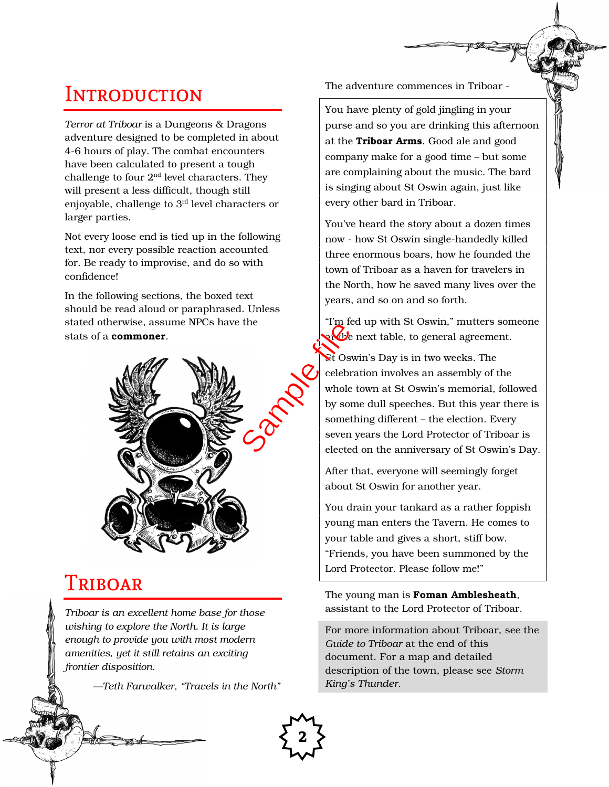# **INTRODUCTION**

Terror at Triboar is a Dungeons & Dragons adventure designed to be completed in about 4-6 hours of play. The combat encounters have been calculated to present a tough challenge to four  $2<sup>nd</sup>$  level characters. They will present a less difficult, though still enjoyable, challenge to 3rd level characters or larger parties.

Not every loose end is tied up in the following text, nor every possible reaction accounted for. Be ready to improvise, and do so with confidence!

In the following sections, the boxed text should be read aloud or paraphrased. Unless stated otherwise, assume NPCs have the stats of a **commoner**.



### Triboar

ģ

Triboar is an excellent home base for those wishing to explore the North. It is large enough to provide you with most modern amenities, yet it still retains an exciting frontier disposition.

—Teth Farwalker, "Travels in the North"

The adventure commences in Triboar -

You have plenty of gold jingling in your purse and so you are drinking this afternoon at the Triboar Arms. Good ale and good company make for a good time – but some are complaining about the music. The bard is singing about St Oswin again, just like every other bard in Triboar.

You've heard the story about a dozen times now - how St Oswin single-handedly killed three enormous boars, how he founded the town of Triboar as a haven for travelers in the North, how he saved many lives over the years, and so on and so forth.

"I'm fed up with St Oswin," mutters someone at table, to general agreement.

St Oswin's Day is in two weeks. The celebration involves an assembly of the whole town at St Oswin's memorial, followed by some dull speeches. But this year there is something different – the election. Every seven years the Lord Protector of Triboar is elected on the anniversary of St Oswin's Day.

After that, everyone will seemingly forget about St Oswin for another year.

You drain your tankard as a rather foppish young man enters the Tavern. He comes to your table and gives a short, stiff bow. "Friends, you have been summoned by the Lord Protector. Please follow me!"

The young man is **Foman Amblesheath**, assistant to the Lord Protector of Triboar.

For more information about Triboar, see the Guide to Triboar at the end of this document. For a map and detailed description of the town, please see Storm King's Thunder.